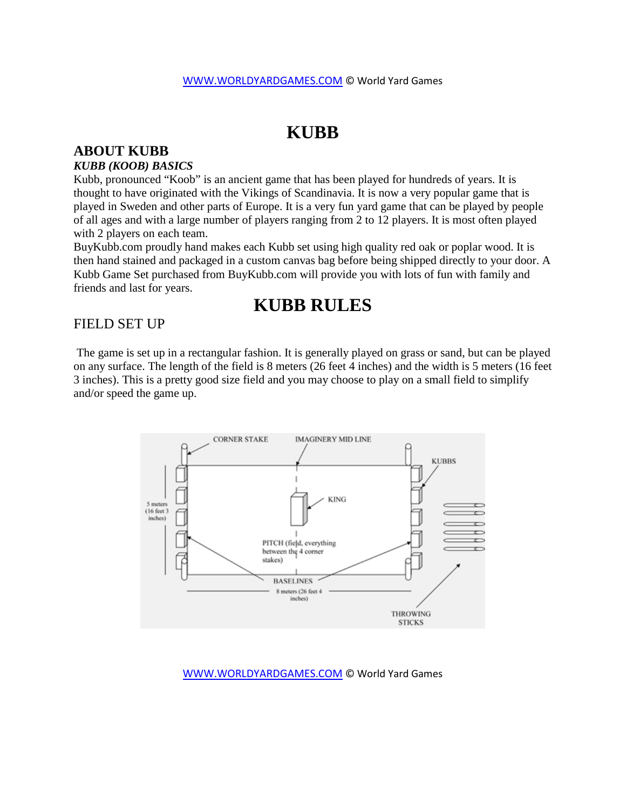# **KUBB**

# **ABOUT KUBB**

#### *KUBB (KOOB) BASICS*

Kubb, pronounced "Koob" is an ancient game that has been played for hundreds of years. It is thought to have originated with the Vikings of Scandinavia. It is now a very popular game that is played in Sweden and other parts of Europe. It is a very fun yard game that can be played by people of all ages and with a large number of players ranging from 2 to 12 players. It is most often played with 2 players on each team.

BuyKubb.com proudly hand makes each Kubb set using high quality red oak or poplar wood. It is then hand stained and packaged in a custom canvas bag before being shipped directly to your door. A Kubb Game Set purchased from BuyKubb.com will provide you with lots of fun with family and friends and last for years.

# **KUBB RULES**

## FIELD SET UP

The game is set up in a rectangular fashion. It is generally played on grass or sand, but can be played on any surface. The length of the field is 8 meters (26 feet 4 inches) and the width is 5 meters (16 feet 3 inches). This is a pretty good size field and you may choose to play on a small field to simplify and/or speed the game up.



#### [WWW.WORLDYARDGAMES.COM](http://www.worldyardgames.com/) © World Yard Games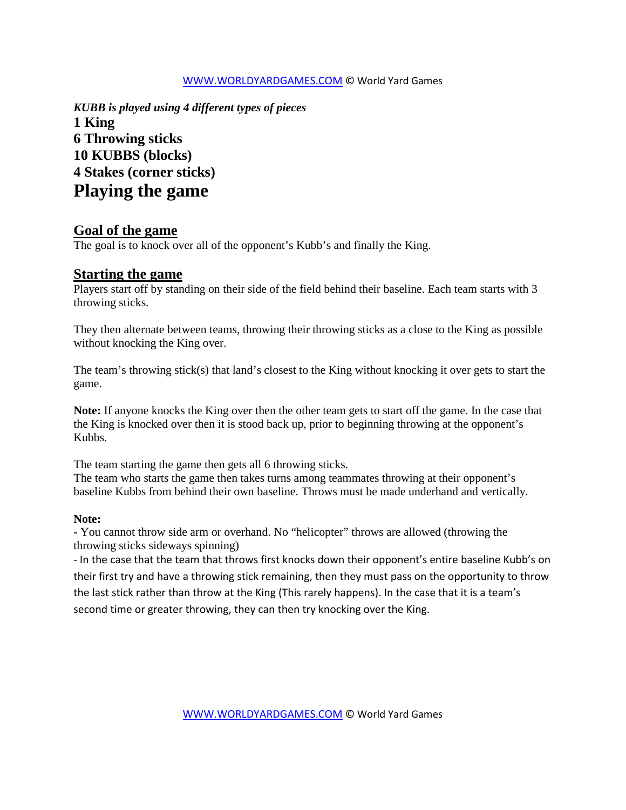### [WWW.WORLDYARDGAMES.COM](http://www.worldyardgames.com/) © World Yard Games

*KUBB is played using 4 different types of pieces*  **1 King 6 Throwing sticks 10 KUBBS (blocks) 4 Stakes (corner sticks) Playing the game** 

# **Goal of the game**

The goal is to knock over all of the opponent's Kubb's and finally the King.

## **Starting the game**

Players start off by standing on their side of the field behind their baseline. Each team starts with 3 throwing sticks.

They then alternate between teams, throwing their throwing sticks as a close to the King as possible without knocking the King over.

The team's throwing stick(s) that land's closest to the King without knocking it over gets to start the game.

**Note:** If anyone knocks the King over then the other team gets to start off the game. In the case that the King is knocked over then it is stood back up, prior to beginning throwing at the opponent's Kubbs.

The team starting the game then gets all 6 throwing sticks.

The team who starts the game then takes turns among teammates throwing at their opponent's baseline Kubbs from behind their own baseline. Throws must be made underhand and vertically.

### **Note:**

**-** You cannot throw side arm or overhand. No "helicopter" throws are allowed (throwing the throwing sticks sideways spinning)

- In the case that the team that throws first knocks down their opponent's entire baseline Kubb's on their first try and have a throwing stick remaining, then they must pass on the opportunity to throw the last stick rather than throw at the King (This rarely happens). In the case that it is a team's second time or greater throwing, they can then try knocking over the King.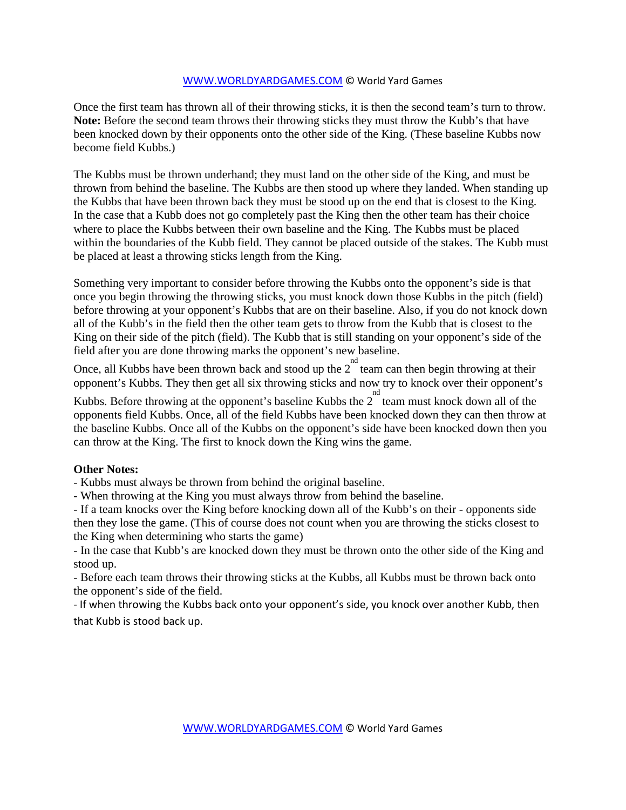### [WWW.WORLDYARDGAMES.COM](http://www.worldyardgames.com/) © World Yard Games

Once the first team has thrown all of their throwing sticks, it is then the second team's turn to throw. **Note:** Before the second team throws their throwing sticks they must throw the Kubb's that have been knocked down by their opponents onto the other side of the King. (These baseline Kubbs now become field Kubbs.)

The Kubbs must be thrown underhand; they must land on the other side of the King, and must be thrown from behind the baseline. The Kubbs are then stood up where they landed. When standing up the Kubbs that have been thrown back they must be stood up on the end that is closest to the King. In the case that a Kubb does not go completely past the King then the other team has their choice where to place the Kubbs between their own baseline and the King. The Kubbs must be placed within the boundaries of the Kubb field. They cannot be placed outside of the stakes. The Kubb must be placed at least a throwing sticks length from the King.

Something very important to consider before throwing the Kubbs onto the opponent's side is that once you begin throwing the throwing sticks, you must knock down those Kubbs in the pitch (field) before throwing at your opponent's Kubbs that are on their baseline. Also, if you do not knock down all of the Kubb's in the field then the other team gets to throw from the Kubb that is closest to the King on their side of the pitch (field). The Kubb that is still standing on your opponent's side of the field after you are done throwing marks the opponent's new baseline.

Once, all Kubbs have been thrown back and stood up the  $2^{nd}$  team can then begin throwing at their opponent's Kubbs. They then get all six throwing sticks and now try to knock over their opponent's

Kubbs. Before throwing at the opponent's baseline Kubbs the  $2^{nd}$  team must knock down all of the opponents field Kubbs. Once, all of the field Kubbs have been knocked down they can then throw at the baseline Kubbs. Once all of the Kubbs on the opponent's side have been knocked down then you can throw at the King. The first to knock down the King wins the game.

### **Other Notes:**

- Kubbs must always be thrown from behind the original baseline.

- When throwing at the King you must always throw from behind the baseline.

- If a team knocks over the King before knocking down all of the Kubb's on their - opponents side then they lose the game. (This of course does not count when you are throwing the sticks closest to the King when determining who starts the game)

- In the case that Kubb's are knocked down they must be thrown onto the other side of the King and stood up.

- Before each team throws their throwing sticks at the Kubbs, all Kubbs must be thrown back onto the opponent's side of the field.

- If when throwing the Kubbs back onto your opponent's side, you knock over another Kubb, then that Kubb is stood back up.